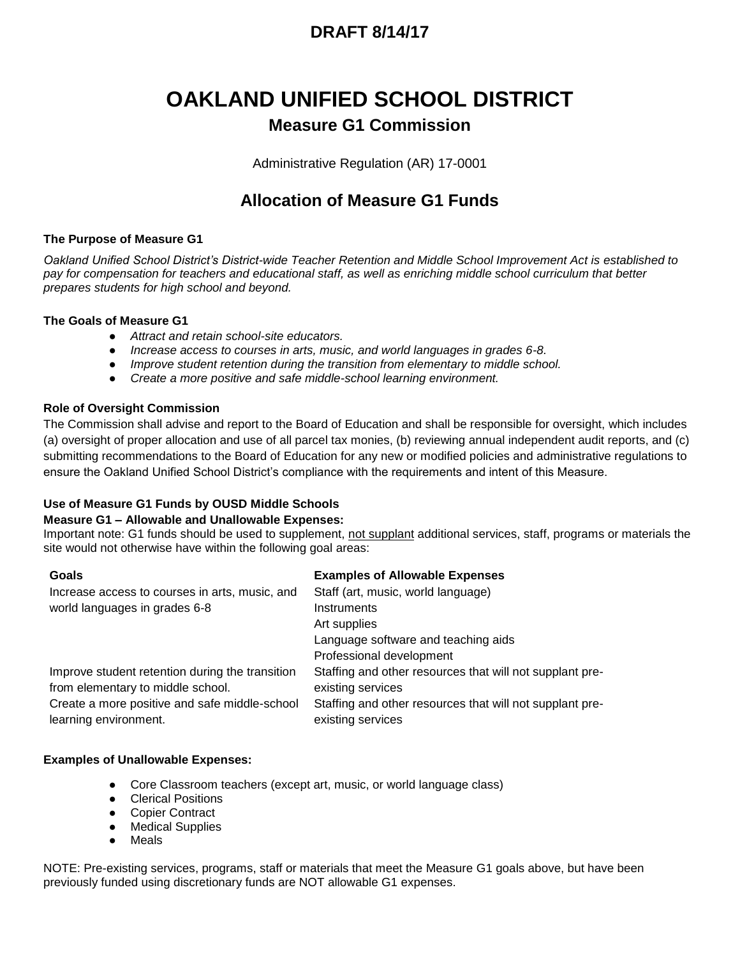# **OAKLAND UNIFIED SCHOOL DISTRICT Measure G1 Commission**

Administrative Regulation (AR) 17-0001

### **Allocation of Measure G1 Funds**

#### **The Purpose of Measure G1**

*Oakland Unified School District's District-wide Teacher Retention and Middle School Improvement Act is established to pay for compensation for teachers and educational staff, as well as enriching middle school curriculum that better prepares students for high school and beyond.*

#### **The Goals of Measure G1**

- *Attract and retain school-site educators.*
- *Increase access to courses in arts, music, and world languages in grades 6-8.*
- *Improve student retention during the transition from elementary to middle school.*
- *Create a more positive and safe middle-school learning environment.*

#### **Role of Oversight Commission**

The Commission shall advise and report to the Board of Education and shall be responsible for oversight, which includes (a) oversight of proper allocation and use of all parcel tax monies, (b) reviewing annual independent audit reports, and (c) submitting recommendations to the Board of Education for any new or modified policies and administrative regulations to ensure the Oakland Unified School District's compliance with the requirements and intent of this Measure.

### **Use of Measure G1 Funds by OUSD Middle Schools**

#### **Measure G1 – Allowable and Unallowable Expenses:**

Important note: G1 funds should be used to supplement, not supplant additional services, staff, programs or materials the site would not otherwise have within the following goal areas:

| Goals                                           | <b>Examples of Allowable Expenses</b>                    |
|-------------------------------------------------|----------------------------------------------------------|
| Increase access to courses in arts, music, and  | Staff (art, music, world language)                       |
| world languages in grades 6-8                   | Instruments                                              |
|                                                 | Art supplies                                             |
|                                                 | Language software and teaching aids                      |
|                                                 | Professional development                                 |
| Improve student retention during the transition | Staffing and other resources that will not supplant pre- |
| from elementary to middle school.               | existing services                                        |
| Create a more positive and safe middle-school   | Staffing and other resources that will not supplant pre- |
| learning environment.                           | existing services                                        |

#### **Examples of Unallowable Expenses:**

- Core Classroom teachers (except art, music, or world language class)
- Clerical Positions
- Copier Contract
- Medical Supplies
- **Meals**

NOTE: Pre-existing services, programs, staff or materials that meet the Measure G1 goals above, but have been previously funded using discretionary funds are NOT allowable G1 expenses.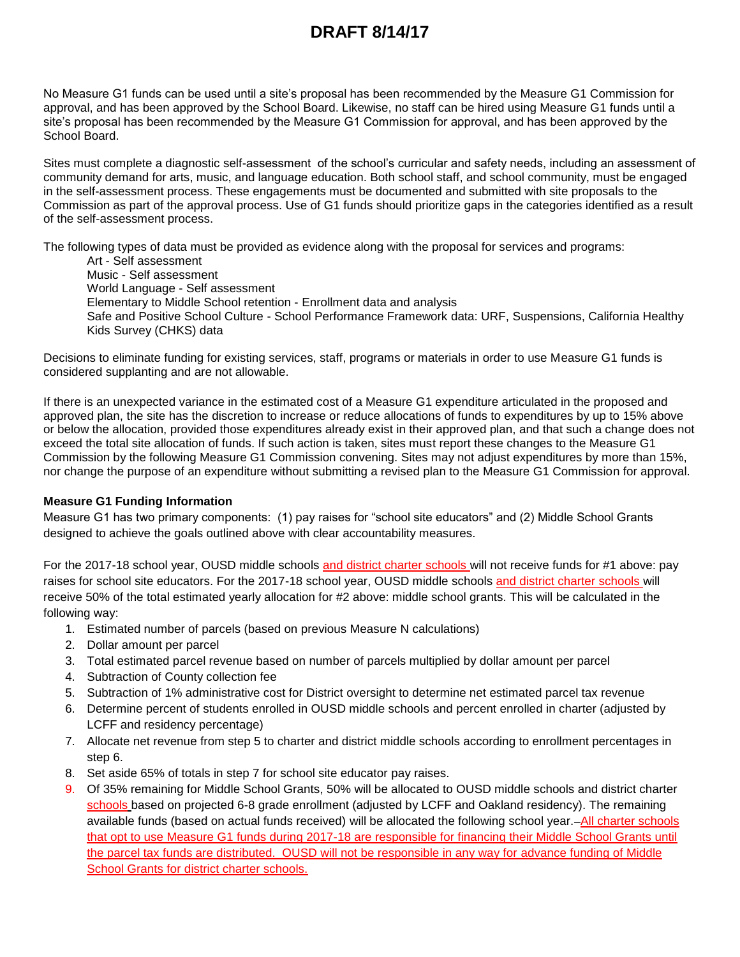No Measure G1 funds can be used until a site's proposal has been recommended by the Measure G1 Commission for approval, and has been approved by the School Board. Likewise, no staff can be hired using Measure G1 funds until a site's proposal has been recommended by the Measure G1 Commission for approval, and has been approved by the School Board.

Sites must complete a diagnostic self-assessment of the school's curricular and safety needs, including an assessment of community demand for arts, music, and language education. Both school staff, and school community, must be engaged in the self-assessment process. These engagements must be documented and submitted with site proposals to the Commission as part of the approval process. Use of G1 funds should prioritize gaps in the categories identified as a result of the self-assessment process.

The following types of data must be provided as evidence along with the proposal for services and programs:

Art - Self assessment Music - Self assessment World Language - Self assessment Elementary to Middle School retention - Enrollment data and analysis Safe and Positive School Culture - School Performance Framework data: URF, Suspensions, California Healthy Kids Survey (CHKS) data

Decisions to eliminate funding for existing services, staff, programs or materials in order to use Measure G1 funds is considered supplanting and are not allowable.

If there is an unexpected variance in the estimated cost of a Measure G1 expenditure articulated in the proposed and approved plan, the site has the discretion to increase or reduce allocations of funds to expenditures by up to 15% above or below the allocation, provided those expenditures already exist in their approved plan, and that such a change does not exceed the total site allocation of funds. If such action is taken, sites must report these changes to the Measure G1 Commission by the following Measure G1 Commission convening. Sites may not adjust expenditures by more than 15%, nor change the purpose of an expenditure without submitting a revised plan to the Measure G1 Commission for approval.

### **Measure G1 Funding Information**

Measure G1 has two primary components: (1) pay raises for "school site educators" and (2) Middle School Grants designed to achieve the goals outlined above with clear accountability measures.

For the 2017-18 school year, OUSD middle schools and district charter schools will not receive funds for #1 above: pay raises for school site educators. For the 2017-18 school year, OUSD middle schools and district charter schools will receive 50% of the total estimated yearly allocation for #2 above: middle school grants. This will be calculated in the following way:

- 1. Estimated number of parcels (based on previous Measure N calculations)
- 2. Dollar amount per parcel
- 3. Total estimated parcel revenue based on number of parcels multiplied by dollar amount per parcel
- 4. Subtraction of County collection fee
- 5. Subtraction of 1% administrative cost for District oversight to determine net estimated parcel tax revenue
- 6. Determine percent of students enrolled in OUSD middle schools and percent enrolled in charter (adjusted by LCFF and residency percentage)
- 7. Allocate net revenue from step 5 to charter and district middle schools according to enrollment percentages in step 6.
- 8. Set aside 65% of totals in step 7 for school site educator pay raises.
- 9. Of 35% remaining for Middle School Grants, 50% will be allocated to OUSD middle schools and district charter schools based on projected 6-8 grade enrollment (adjusted by LCFF and Oakland residency). The remaining available funds (based on actual funds received) will be allocated the following school year. All charter schools that opt to use Measure G1 funds during 2017-18 are responsible for financing their Middle School Grants until the parcel tax funds are distributed. OUSD will not be responsible in any way for advance funding of Middle School Grants for district charter schools.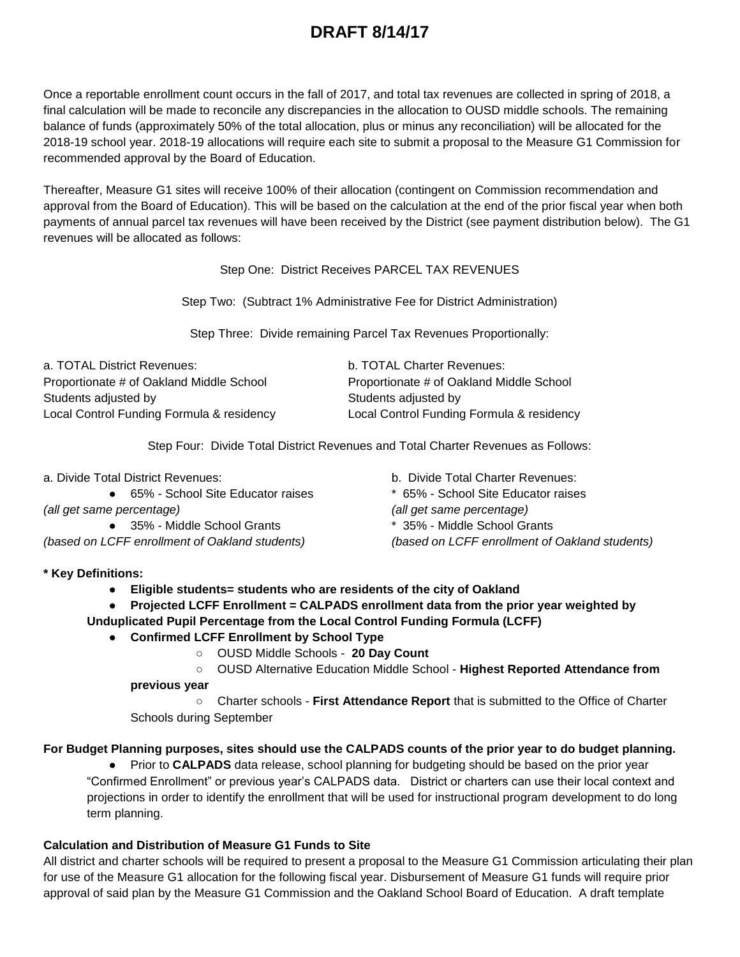Once a reportable enrollment count occurs in the fall of 2017, and total tax revenues are collected in spring of 2018, a final calculation will be made to reconcile any discrepancies in the allocation to OUSD middle schools. The remaining balance of funds (approximately 50% of the total allocation, plus or minus any reconciliation) will be allocated for the 2018-19 school year. 2018-19 allocations will require each site to submit a proposal to the Measure G1 Commission for recommended approval by the Board of Education.

Thereafter, Measure G1 sites will receive 100% of their allocation (contingent on Commission recommendation and approval from the Board of Education). This will be based on the calculation at the end of the prior fiscal year when both payments of annual parcel tax revenues will have been received by the District (see payment distribution below). The G1 revenues will be allocated as follows:

Step One: District Receives PARCEL TAX REVENUES

Step Two: (Subtract 1% Administrative Fee for District Administration)

Step Three: Divide remaining Parcel Tax Revenues Proportionally:

| a. TOTAL District Revenues:               | b. TOTAL Charter Revenues:                |
|-------------------------------------------|-------------------------------------------|
| Proportionate # of Oakland Middle School  | Proportionate # of Oakland Middle School  |
| Students adjusted by                      | Students adjusted by                      |
| Local Control Funding Formula & residency | Local Control Funding Formula & residency |

Step Four: Divide Total District Revenues and Total Charter Revenues as Follows:

| a. Divide Total District Revenues:             | b. Divide Total Charter Revenues:              |
|------------------------------------------------|------------------------------------------------|
| • 65% - School Site Educator raises            | * 65% - School Site Educator raises            |
| (all get same percentage)                      | (all get same percentage)                      |
| • 35% - Middle School Grants                   | * 35% - Middle School Grants                   |
| (based on LCFF enrollment of Oakland students) | (based on LCFF enrollment of Oakland students) |

### **\* Key Definitions:**

- **Eligible students= students who are residents of the city of Oakland**
- **Projected LCFF Enrollment = CALPADS enrollment data from the prior year weighted by Unduplicated Pupil Percentage from the Local Control Funding Formula (LCFF)**
	- **Confirmed LCFF Enrollment by School Type**
		- OUSD Middle Schools **20 Day Count**
		- OUSD Alternative Education Middle School **Highest Reported Attendance from**
		- **previous year**
		- Charter schools **First Attendance Report** that is submitted to the Office of Charter Schools during September

### **For Budget Planning purposes, sites should use the CALPADS counts of the prior year to do budget planning.**

● Prior to **CALPADS** data release, school planning for budgeting should be based on the prior year "Confirmed Enrollment" or previous year's CALPADS data. District or charters can use their local context and projections in order to identify the enrollment that will be used for instructional program development to do long term planning.

### **Calculation and Distribution of Measure G1 Funds to Site**

All district and charter schools will be required to present a proposal to the Measure G1 Commission articulating their plan for use of the Measure G1 allocation for the following fiscal year. Disbursement of Measure G1 funds will require prior approval of said plan by the Measure G1 Commission and the Oakland School Board of Education. A draft template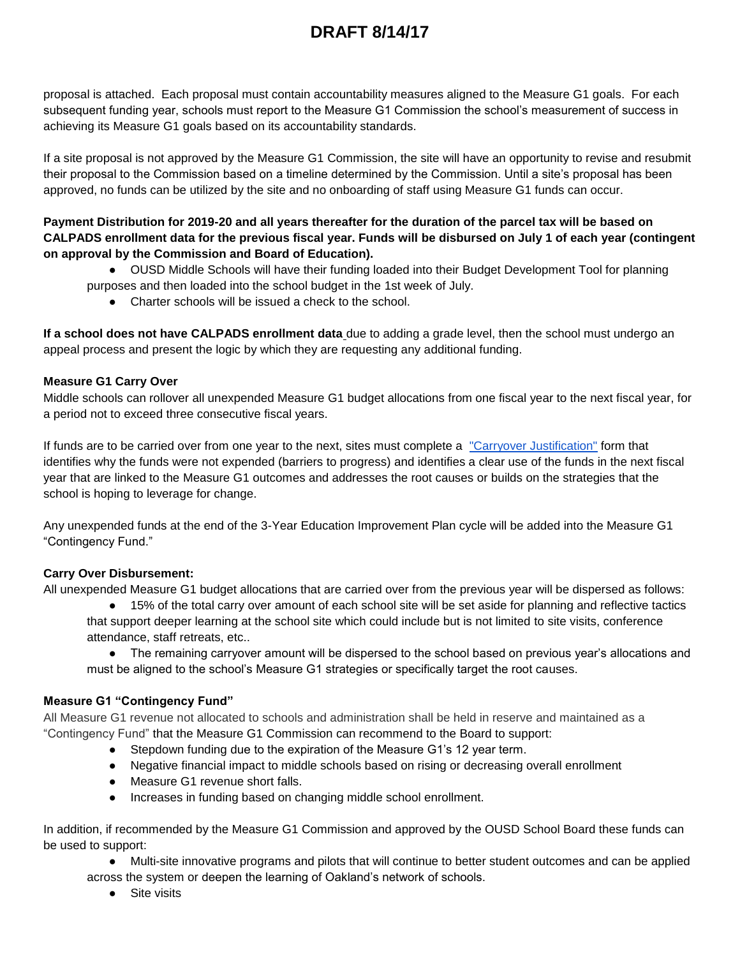proposal is attached. Each proposal must contain accountability measures aligned to the Measure G1 goals. For each subsequent funding year, schools must report to the Measure G1 Commission the school's measurement of success in achieving its Measure G1 goals based on its accountability standards.

If a site proposal is not approved by the Measure G1 Commission, the site will have an opportunity to revise and resubmit their proposal to the Commission based on a timeline determined by the Commission. Until a site's proposal has been approved, no funds can be utilized by the site and no onboarding of staff using Measure G1 funds can occur.

### **Payment Distribution for 2019-20 and all years thereafter for the duration of the parcel tax will be based on CALPADS enrollment data for the previous fiscal year. Funds will be disbursed on July 1 of each year (contingent on approval by the Commission and Board of Education).**

- OUSD Middle Schools will have their funding loaded into their Budget Development Tool for planning purposes and then loaded into the school budget in the 1st week of July.
	- Charter schools will be issued a check to the school.

**If a school does not have CALPADS enrollment data** due to adding a grade level, then the school must undergo an appeal process and present the logic by which they are requesting any additional funding.

### **Measure G1 Carry Over**

Middle schools can rollover all unexpended Measure G1 budget allocations from one fiscal year to the next fiscal year, for a period not to exceed three consecutive fiscal years.

If funds are to be carried over from one year to the next, sites must complete a ["Carryover Justification"](https://docs.google.com/document/d/1k6gtyfMfeB6QudSHG50eoVkMzvPcDGUtY2p5fmjcpKU/edit) form that identifies why the funds were not expended (barriers to progress) and identifies a clear use of the funds in the next fiscal year that are linked to the Measure G1 outcomes and addresses the root causes or builds on the strategies that the school is hoping to leverage for change.

Any unexpended funds at the end of the 3-Year Education Improvement Plan cycle will be added into the Measure G1 "Contingency Fund."

### **Carry Over Disbursement:**

All unexpended Measure G1 budget allocations that are carried over from the previous year will be dispersed as follows:

● 15% of the total carry over amount of each school site will be set aside for planning and reflective tactics that support deeper learning at the school site which could include but is not limited to site visits, conference attendance, staff retreats, etc..

● The remaining carryover amount will be dispersed to the school based on previous year's allocations and must be aligned to the school's Measure G1 strategies or specifically target the root causes.

### **Measure G1 "Contingency Fund"**

All Measure G1 revenue not allocated to schools and administration shall be held in reserve and maintained as a "Contingency Fund" that the Measure G1 Commission can recommend to the Board to support:

- Stepdown funding due to the expiration of the Measure G1's 12 year term.
- Negative financial impact to middle schools based on rising or decreasing overall enrollment
- Measure G1 revenue short falls.
- Increases in funding based on changing middle school enrollment.

In addition, if recommended by the Measure G1 Commission and approved by the OUSD School Board these funds can be used to support:

● Multi-site innovative programs and pilots that will continue to better student outcomes and can be applied

across the system or deepen the learning of Oakland's network of schools.

● Site visits